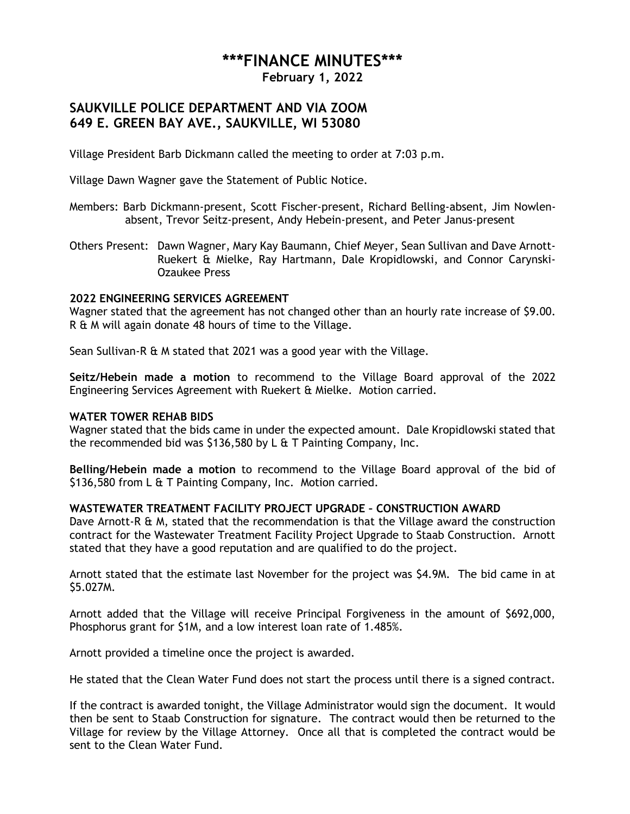# **\*\*\*FINANCE MINUTES\*\*\***

**February 1, 2022**

# **SAUKVILLE POLICE DEPARTMENT AND VIA ZOOM 649 E. GREEN BAY AVE., SAUKVILLE, WI 53080**

Village President Barb Dickmann called the meeting to order at 7:03 p.m.

Village Dawn Wagner gave the Statement of Public Notice.

- Members: Barb Dickmann-present, Scott Fischer-present, Richard Belling-absent, Jim Nowlenabsent, Trevor Seitz-present, Andy Hebein-present, and Peter Janus-present
- Others Present: Dawn Wagner, Mary Kay Baumann, Chief Meyer, Sean Sullivan and Dave Arnott-Ruekert & Mielke, Ray Hartmann, Dale Kropidlowski, and Connor Carynski-Ozaukee Press

## **2022 ENGINEERING SERVICES AGREEMENT**

Wagner stated that the agreement has not changed other than an hourly rate increase of \$9.00. R & M will again donate 48 hours of time to the Village.

Sean Sullivan-R & M stated that 2021 was a good year with the Village.

**Seitz/Hebein made a motion** to recommend to the Village Board approval of the 2022 Engineering Services Agreement with Ruekert & Mielke. Motion carried.

#### **WATER TOWER REHAB BIDS**

Wagner stated that the bids came in under the expected amount. Dale Kropidlowski stated that the recommended bid was \$136,580 by L & T Painting Company, Inc.

**Belling/Hebein made a motion** to recommend to the Village Board approval of the bid of \$136,580 from L & T Painting Company, Inc. Motion carried.

#### **WASTEWATER TREATMENT FACILITY PROJECT UPGRADE – CONSTRUCTION AWARD**

Dave Arnott-R & M, stated that the recommendation is that the Village award the construction contract for the Wastewater Treatment Facility Project Upgrade to Staab Construction. Arnott stated that they have a good reputation and are qualified to do the project.

Arnott stated that the estimate last November for the project was \$4.9M. The bid came in at \$5.027M.

Arnott added that the Village will receive Principal Forgiveness in the amount of \$692,000, Phosphorus grant for \$1M, and a low interest loan rate of 1.485%.

Arnott provided a timeline once the project is awarded.

He stated that the Clean Water Fund does not start the process until there is a signed contract.

If the contract is awarded tonight, the Village Administrator would sign the document. It would then be sent to Staab Construction for signature. The contract would then be returned to the Village for review by the Village Attorney. Once all that is completed the contract would be sent to the Clean Water Fund.